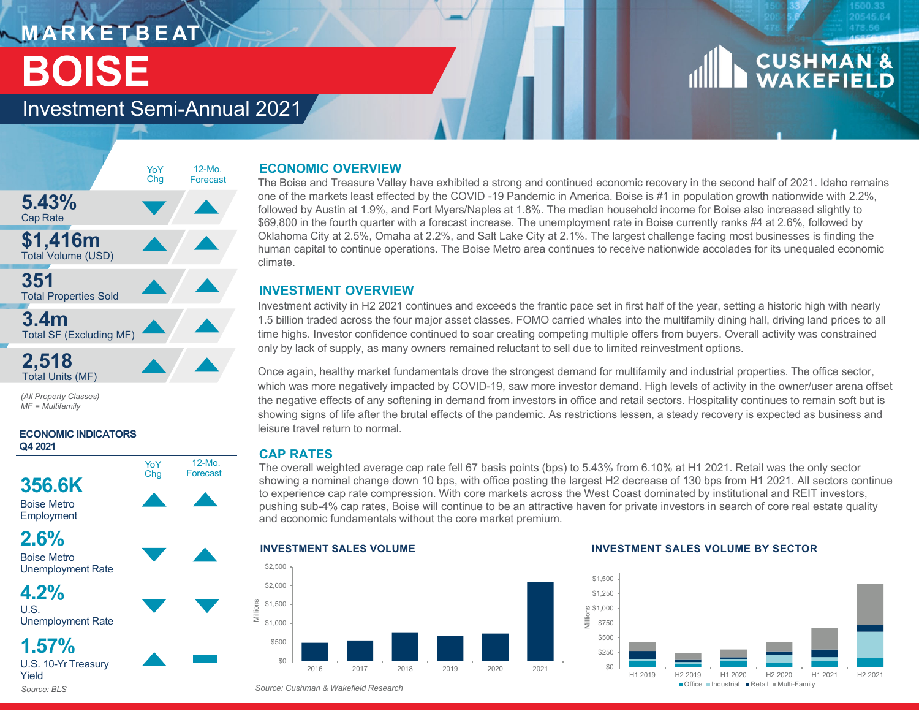## **M A R K E T B E AT BOISE**

# **CUSHMAN &**<br>WAKEFIELD

### Investment Semi-Annual 2021



**2,518** Total Units (MF)

*(All Property Classes) MF = Multifamily*

### **ECONOMIC INDICATORS Q4 2021**





**4.2%**

 $\overline{U}$ . S. Unemployment Rate

**1.57%**U.S. 10-Yr Treasury Yield*Source: BLS*

### **ECONOMIC OVERVIEW**

 The Boise and Treasure Valley have exhibited a strong and continued economic recovery in the second half of 2021. Idaho remains one of the markets least effected by the COVID -19 Pandemic in America. Boise is #1 in population growth nationwide with 2.2%, followed by Austin at 1.9%, and Fort Myers/Naples at 1.8%. The median household income for Boise also increased slightly to \$69,800 in the fourth quarter with a forecast increase. The unemployment rate in Boise currently ranks #4 at 2.6%, followed by Oklahoma City at 2.5%, Omaha at 2.2%, and Salt Lake City at 2.1%. The largest challenge facing most businesses is finding the human capital to continue operations. The Boise Metro area continues to receive nationwide accolades for its unequaled economic climate.

### **INVESTMENT OVERVIEW**

 Investment activity in H2 2021 continues and exceeds the frantic pace set in first half of the year, setting a historic high with nearly 1.5 billion traded across the four major asset classes. FOMO carried whales into the multifamily dining hall, driving land prices to all time highs. Investor confidence continued to soar creating competing multiple offers from buyers. Overall activity was constrained only by lack of supply, as many owners remained reluctant to sell due to limited reinvestment options.

Once again, healthy market fundamentals drove the strongest demand for multifamily and industrial properties. The office sector, which was more negatively impacted by COVID-19, saw more investor demand. High levels of activity in the owner/user arena offset the negative effects of any softening in demand from investors in office and retail sectors. Hospitality continues to remain soft but is showing signs of life after the brutal effects of the pandemic. As restrictions lessen, a steady recovery is expected as business and leisure travel return to normal.

### **CAP RATES**

 The overall weighted average cap rate fell 67 basis points (bps) to 5.43% from 6.10% at H1 2021. Retail was the only sector showing a nominal change down 10 bps, with office posting the largest H2 decrease of 130 bps from H1 2021. All sectors continue to experience cap rate compression. With core markets across the West Coast dominated by institutional and REIT investors, pushing sub-4% cap rates, Boise will continue to be an attractive haven for private investors in search of core real estate quality and economic fundamentals without the core market premium.

### **INVESTMENT SALES VOLUME** $$0$ \$500 \$1,000 \$1,500 \$2,000 \$2,500 2016 2017 2018 2019 2020 2021Millions

### **INVESTMENT SALES VOLUME BY SECTOR**



*Source: Cushman & Wakefield Research*